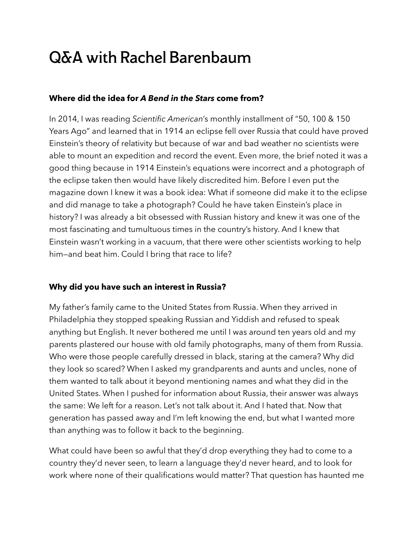# Q&A with Rachel Barenbaum

#### **Where did the idea for** *A Bend in the Stars* **come from?**

In 2014, I was reading *Scientific American*'s monthly installment of "50, 100 & 150 Years Ago" and learned that in 1914 an eclipse fell over Russia that could have proved Einstein's theory of relativity but because of war and bad weather no scientists were able to mount an expedition and record the event. Even more, the brief noted it was a good thing because in 1914 Einstein's equations were incorrect and a photograph of the eclipse taken then would have likely discredited him. Before I even put the magazine down I knew it was a book idea: What if someone did make it to the eclipse and did manage to take a photograph? Could he have taken Einstein's place in history? I was already a bit obsessed with Russian history and knew it was one of the most fascinating and tumultuous times in the country's history. And I knew that Einstein wasn't working in a vacuum, that there were other scientists working to help him—and beat him. Could I bring that race to life?

#### **Why did you have such an interest in Russia?**

My father's family came to the United States from Russia. When they arrived in Philadelphia they stopped speaking Russian and Yiddish and refused to speak anything but English. It never bothered me until I was around ten years old and my parents plastered our house with old family photographs, many of them from Russia. Who were those people carefully dressed in black, staring at the camera? Why did they look so scared? When I asked my grandparents and aunts and uncles, none of them wanted to talk about it beyond mentioning names and what they did in the United States. When I pushed for information about Russia, their answer was always the same: We left for a reason. Let's not talk about it. And I hated that. Now that generation has passed away and I'm left knowing the end, but what I wanted more than anything was to follow it back to the beginning.

What could have been so awful that they'd drop everything they had to come to a country they'd never seen, to learn a language they'd never heard, and to look for work where none of their qualifications would matter? That question has haunted me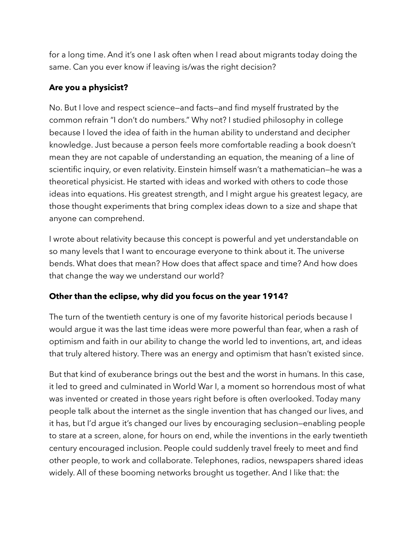for a long time. And it's one I ask often when I read about migrants today doing the same. Can you ever know if leaving is/was the right decision?

## **Are you a physicist?**

No. But I love and respect science—and facts—and find myself frustrated by the common refrain "I don't do numbers." Why not? I studied philosophy in college because I loved the idea of faith in the human ability to understand and decipher knowledge. Just because a person feels more comfortable reading a book doesn't mean they are not capable of understanding an equation, the meaning of a line of scientific inquiry, or even relativity. Einstein himself wasn't a mathematician—he was a theoretical physicist. He started with ideas and worked with others to code those ideas into equations. His greatest strength, and I might argue his greatest legacy, are those thought experiments that bring complex ideas down to a size and shape that anyone can comprehend.

I wrote about relativity because this concept is powerful and yet understandable on so many levels that I want to encourage everyone to think about it. The universe bends. What does that mean? How does that affect space and time? And how does that change the way we understand our world?

## **Other than the eclipse, why did you focus on the year 1914?**

The turn of the twentieth century is one of my favorite historical periods because I would argue it was the last time ideas were more powerful than fear, when a rash of optimism and faith in our ability to change the world led to inventions, art, and ideas that truly altered history. There was an energy and optimism that hasn't existed since.

But that kind of exuberance brings out the best and the worst in humans. In this case, it led to greed and culminated in World War I, a moment so horrendous most of what was invented or created in those years right before is often overlooked. Today many people talk about the internet as the single invention that has changed our lives, and it has, but I'd argue it's changed our lives by encouraging seclusion—enabling people to stare at a screen, alone, for hours on end, while the inventions in the early twentieth century encouraged inclusion. People could suddenly travel freely to meet and find other people, to work and collaborate. Telephones, radios, newspapers shared ideas widely. All of these booming networks brought us together. And I like that: the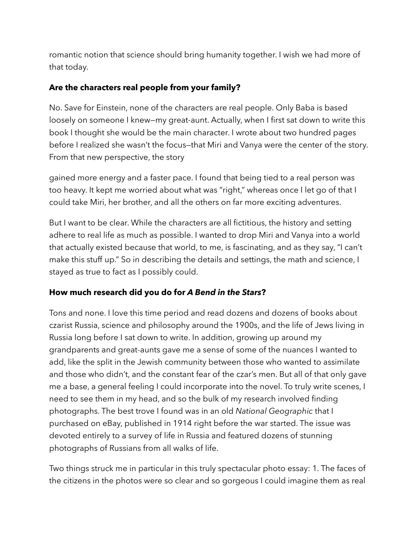romantic notion that science should bring humanity together. I wish we had more of that today.

#### **Are the characters real people from your family?**

No. Save for Einstein, none of the characters are real people. Only Baba is based loosely on someone I knew—my great-aunt. Actually, when I first sat down to write this book I thought she would be the main character. I wrote about two hundred pages before I realized she wasn't the focus—that Miri and Vanya were the center of the story. From that new perspective, the story

gained more energy and a faster pace. I found that being tied to a real person was too heavy. It kept me worried about what was "right," whereas once I let go of that I could take Miri, her brother, and all the others on far more exciting adventures.

But I want to be clear. While the characters are all fictitious, the history and setting adhere to real life as much as possible. I wanted to drop Miri and Vanya into a world that actually existed because that world, to me, is fascinating, and as they say, "I can't make this stuff up." So in describing the details and settings, the math and science, I stayed as true to fact as I possibly could.

## **How much research did you do for** *A Bend in the Stars***?**

Tons and none. I love this time period and read dozens and dozens of books about czarist Russia, science and philosophy around the 1900s, and the life of Jews living in Russia long before I sat down to write. In addition, growing up around my grandparents and great-aunts gave me a sense of some of the nuances I wanted to add, like the split in the Jewish community between those who wanted to assimilate and those who didn't, and the constant fear of the czar's men. But all of that only gave me a base, a general feeling I could incorporate into the novel. To truly write scenes, I need to see them in my head, and so the bulk of my research involved finding photographs. The best trove I found was in an old *National Geographic* that I purchased on eBay, published in 1914 right before the war started. The issue was devoted entirely to a survey of life in Russia and featured dozens of stunning photographs of Russians from all walks of life.

Two things struck me in particular in this truly spectacular photo essay: 1. The faces of the citizens in the photos were so clear and so gorgeous I could imagine them as real